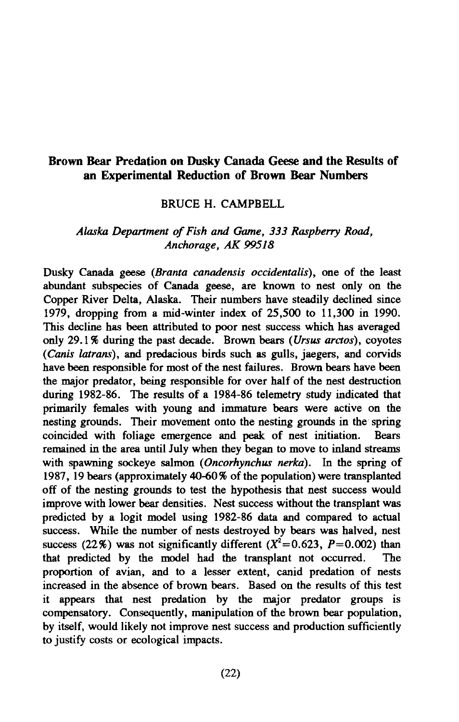### **Brown Bear Predation on Dusky Canada Geese and the Results of an Experimental Reduction of Brown Bear Numbers**

#### BRUCE H. CAMPBELL

### *Alaska Department of Fish and Game, 333 Raspberry Road, Anchorage, AK 99518*

Dusky Canada geese *(Branta canadensis occidentalis),* one of the least abundant subspecies of Canada geese, are known to nest only on the Copper River Delta, Alaska. Their numbers have steadily declined since 1979, dropping from a mid-winter index of 25,500 to 11,300 in 1990. This decline has been attributed to poor nest success which has averaged only 29.1% during the past decade. Brown bears ( *Ursus arctos),* coyotes *(Canis latrans),* and predacious birds such as gulls, jaegers, and corvids have been responsible for most of the nest failures. Brown bears have been the major predator, being responsible for over half of the nest destruction during 1982-86. The results of a 1984-86 telemetry study indicated that primarily females with young and immature bears were active on the nesting grounds. Their movement onto the nesting grounds in the spring coincided with foliage emergence and peak of nest initiation. Bears remained in the area until July when they began to move to inland streams with spawning sockeye salmon *(Oncorhynchus nerka).* In the spring of 1987, 19 bears (approximately 40-60% of the population) were transplanted off of the nesting grounds to test the hypothesis that nest success would improve with lower bear densities. Nest success without the transplant was predicted by a logit model using 1982-86 data and compared to actual success. While the number of nests destroyed by bears was halved, nest success (22%) was not significantly different ( $X^2$ =0.623, P=0.002) than that predicted by the model had the transplant not occurred. The proportion of avian, and to a lesser extent, canid predation of nests increased in the absence of brown bears. Based on the results of this test it appears that nest predation by the major predator groups is compensatory. Consequently, manipulation of the brown bear population, by itself, would likely not improve nest success and production sufficiently to justify costs or ecological impacts.